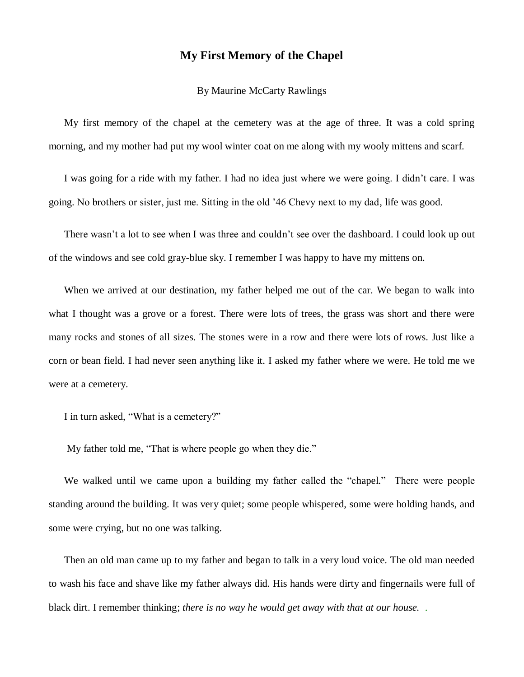## **My First Memory of the Chapel**

## By Maurine McCarty Rawlings

My first memory of the chapel at the cemetery was at the age of three. It was a cold spring morning, and my mother had put my wool winter coat on me along with my wooly mittens and scarf.

I was going for a ride with my father. I had no idea just where we were going. I didn't care. I was going. No brothers or sister, just me. Sitting in the old '46 Chevy next to my dad, life was good.

There wasn't a lot to see when I was three and couldn't see over the dashboard. I could look up out of the windows and see cold gray-blue sky. I remember I was happy to have my mittens on.

When we arrived at our destination, my father helped me out of the car. We began to walk into what I thought was a grove or a forest. There were lots of trees, the grass was short and there were many rocks and stones of all sizes. The stones were in a row and there were lots of rows. Just like a corn or bean field. I had never seen anything like it. I asked my father where we were. He told me we were at a cemetery.

I in turn asked, "What is a cemetery?"

My father told me, "That is where people go when they die."

We walked until we came upon a building my father called the "chapel." There were people standing around the building. It was very quiet; some people whispered, some were holding hands, and some were crying, but no one was talking.

Then an old man came up to my father and began to talk in a very loud voice. The old man needed to wash his face and shave like my father always did. His hands were dirty and fingernails were full of black dirt. I remember thinking; *there is no way he would get away with that at our house.* .